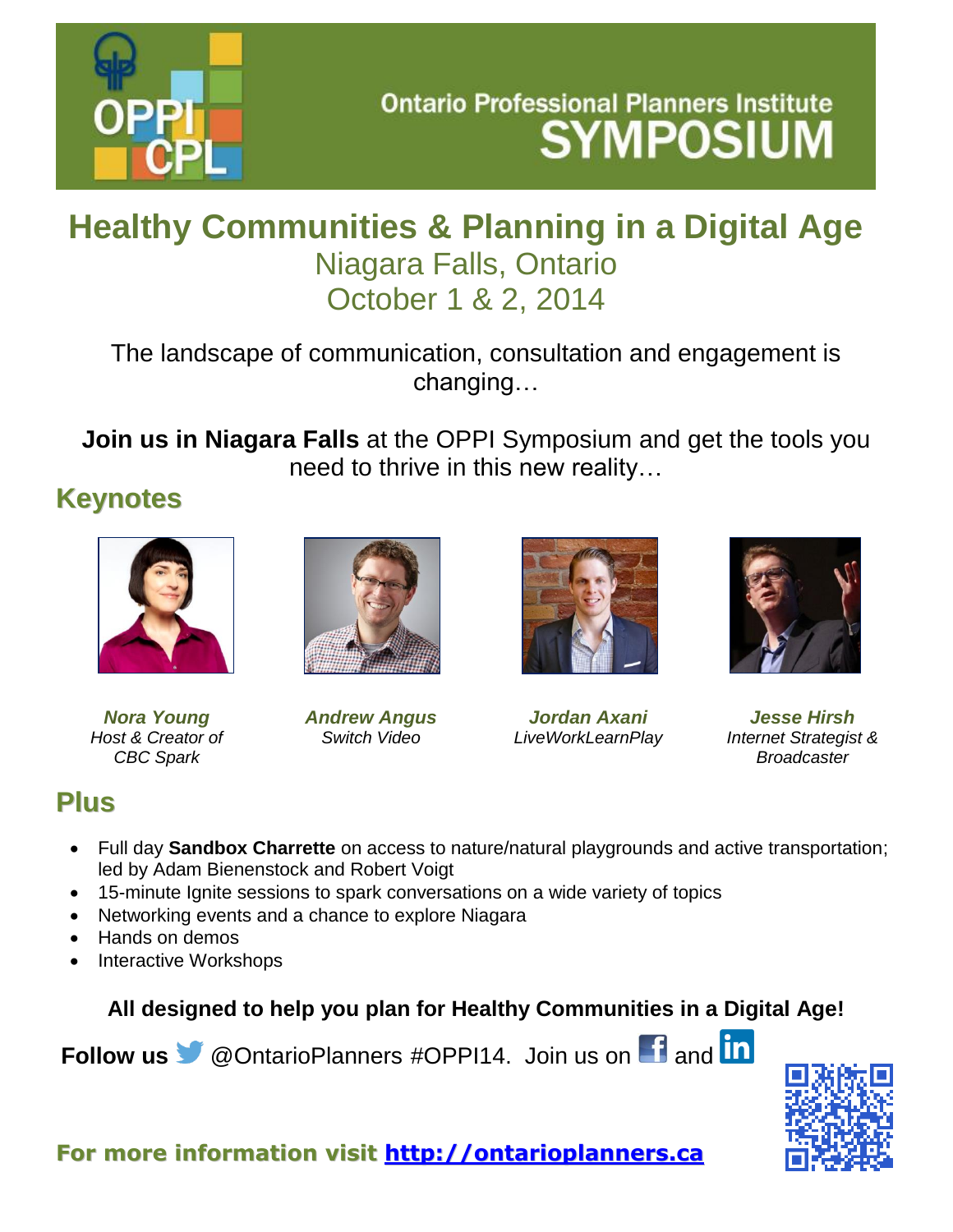

# **Ontario Professional Planners Institute SYMPOSIUM**

## **Healthy Communities & Planning in a Digital Age** Niagara Falls, Ontario October 1 & 2, 2014

The landscape of communication, consultation and engagement is changing…

**Join us in Niagara Falls** at the OPPI Symposium and get the tools you need to thrive in this new reality…

#### **Keynotes**



*Nora Young Host & Creator of CBC Spark*



*Andrew Angus Switch Video*



*Jordan Axani LiveWorkLearnPlay*



*Jesse Hirsh Internet Strategist & Broadcaster*

### **Plus**

- Full day **Sandbox Charrette** on access to nature/natural playgrounds and active transportation; led by Adam Bienenstock and Robert Voigt
- 15-minute Ignite sessions to spark conversations on a wide variety of topics
- Networking events and a chance to explore Niagara
- Hands on demos
- Interactive Workshops

**All designed to help you plan for Healthy Communities in a Digital Age!**

**Follow us** [@OntarioPlanners](https://twitter.com/OntarioPlanners) #OPPI14. Join us on **f** and **in**